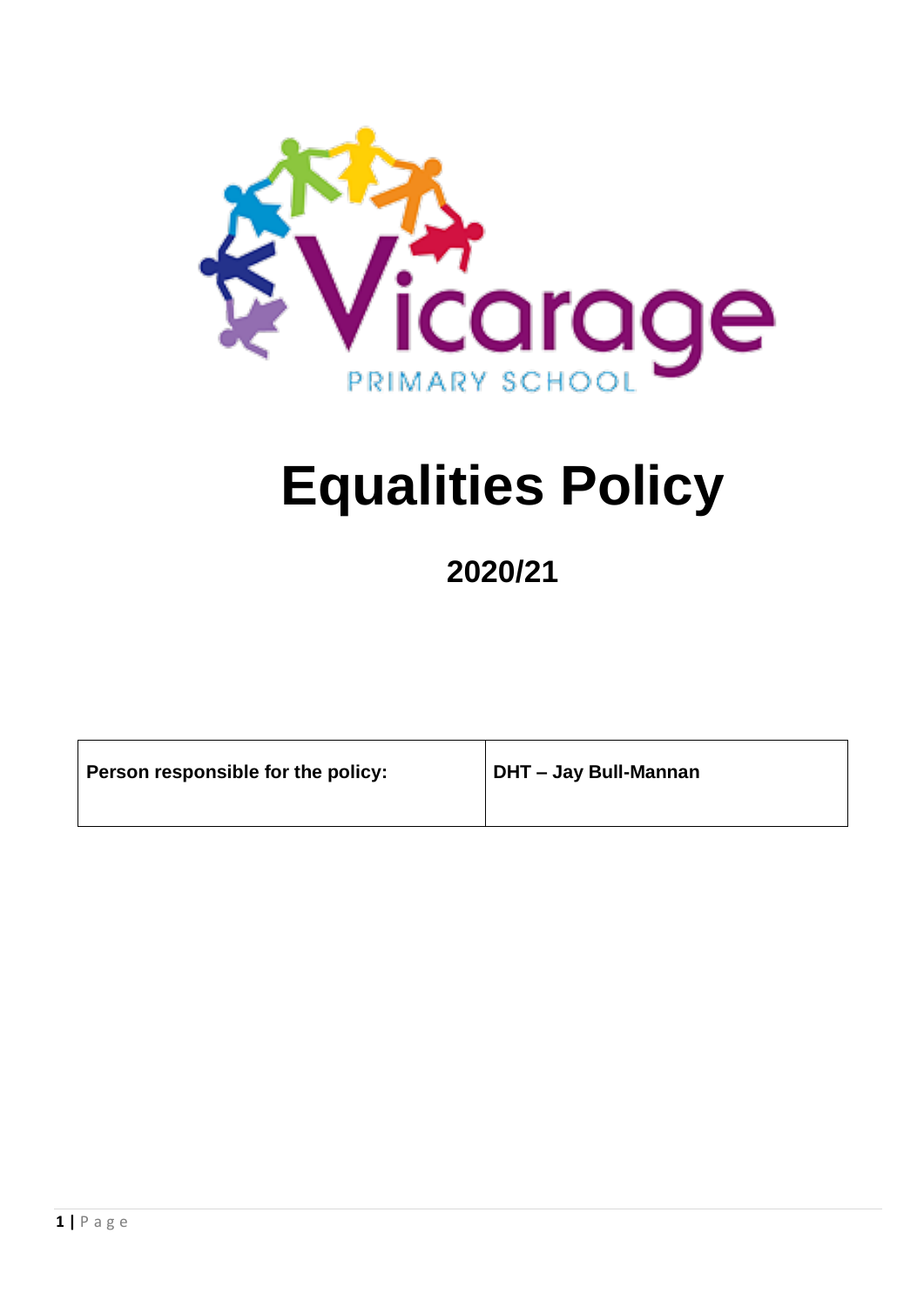

# **Equalities Policy**

# **2020/21**

| Person responsible for the policy: | DHT - Jay Bull-Mannan |
|------------------------------------|-----------------------|
|------------------------------------|-----------------------|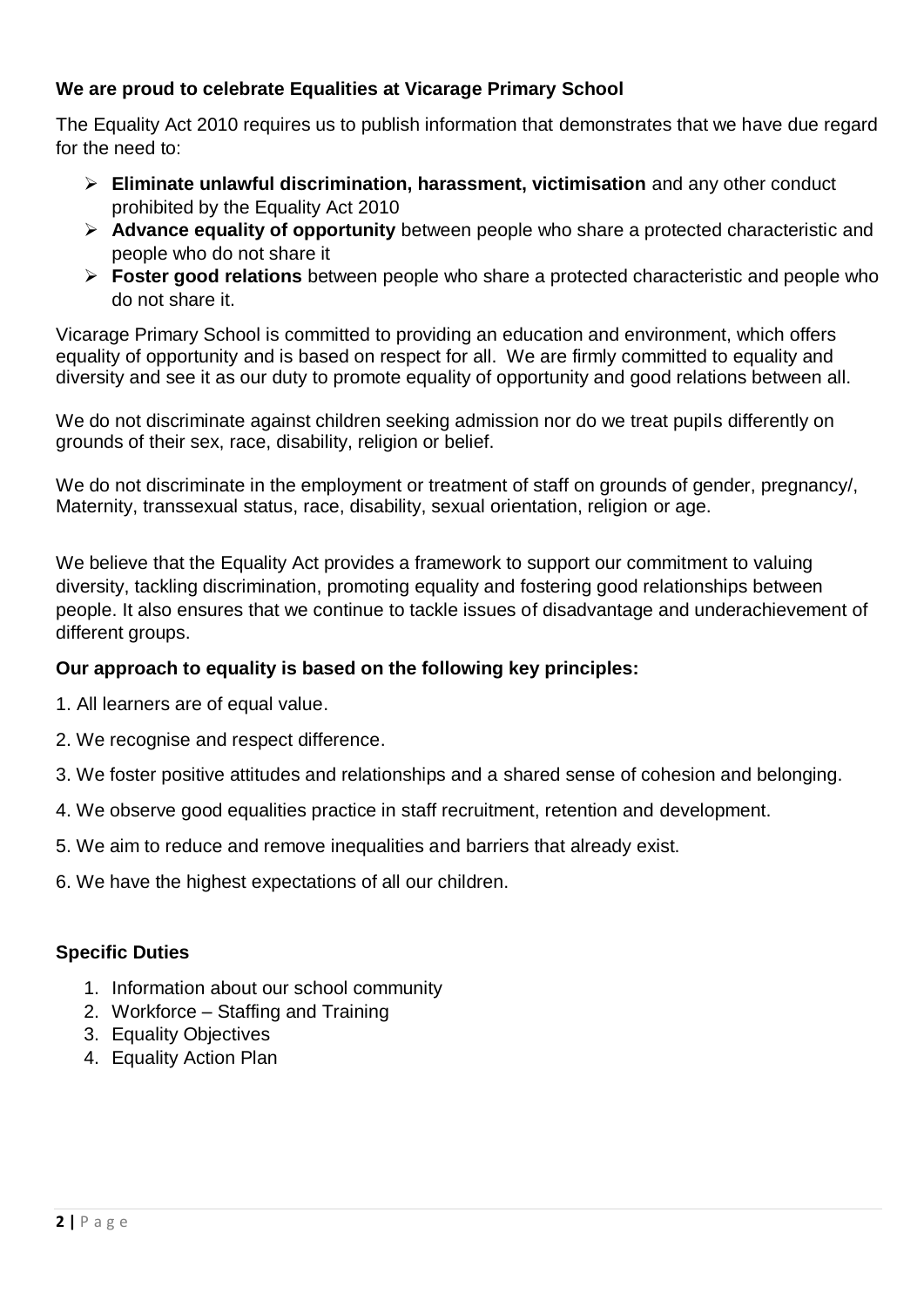#### **We are proud to celebrate Equalities at Vicarage Primary School**

The Equality Act 2010 requires us to publish information that demonstrates that we have due regard for the need to:

- **Eliminate unlawful discrimination, harassment, victimisation** and any other conduct prohibited by the Equality Act 2010
- **Advance equality of opportunity** between people who share a protected characteristic and people who do not share it
- **Foster good relations** between people who share a protected characteristic and people who do not share it.

Vicarage Primary School is committed to providing an education and environment, which offers equality of opportunity and is based on respect for all. We are firmly committed to equality and diversity and see it as our duty to promote equality of opportunity and good relations between all.

We do not discriminate against children seeking admission nor do we treat pupils differently on grounds of their sex, race, disability, religion or belief.

We do not discriminate in the employment or treatment of staff on grounds of gender, pregnancy. Maternity, transsexual status, race, disability, sexual orientation, religion or age.

We believe that the Equality Act provides a framework to support our commitment to valuing diversity, tackling discrimination, promoting equality and fostering good relationships between people. It also ensures that we continue to tackle issues of disadvantage and underachievement of different groups.

#### **Our approach to equality is based on the following key principles:**

- 1. All learners are of equal value.
- 2. We recognise and respect difference.
- 3. We foster positive attitudes and relationships and a shared sense of cohesion and belonging.
- 4. We observe good equalities practice in staff recruitment, retention and development.
- 5. We aim to reduce and remove inequalities and barriers that already exist.
- 6. We have the highest expectations of all our children.

#### **Specific Duties**

- 1. Information about our school community
- 2. Workforce Staffing and Training
- 3. Equality Objectives
- 4. Equality Action Plan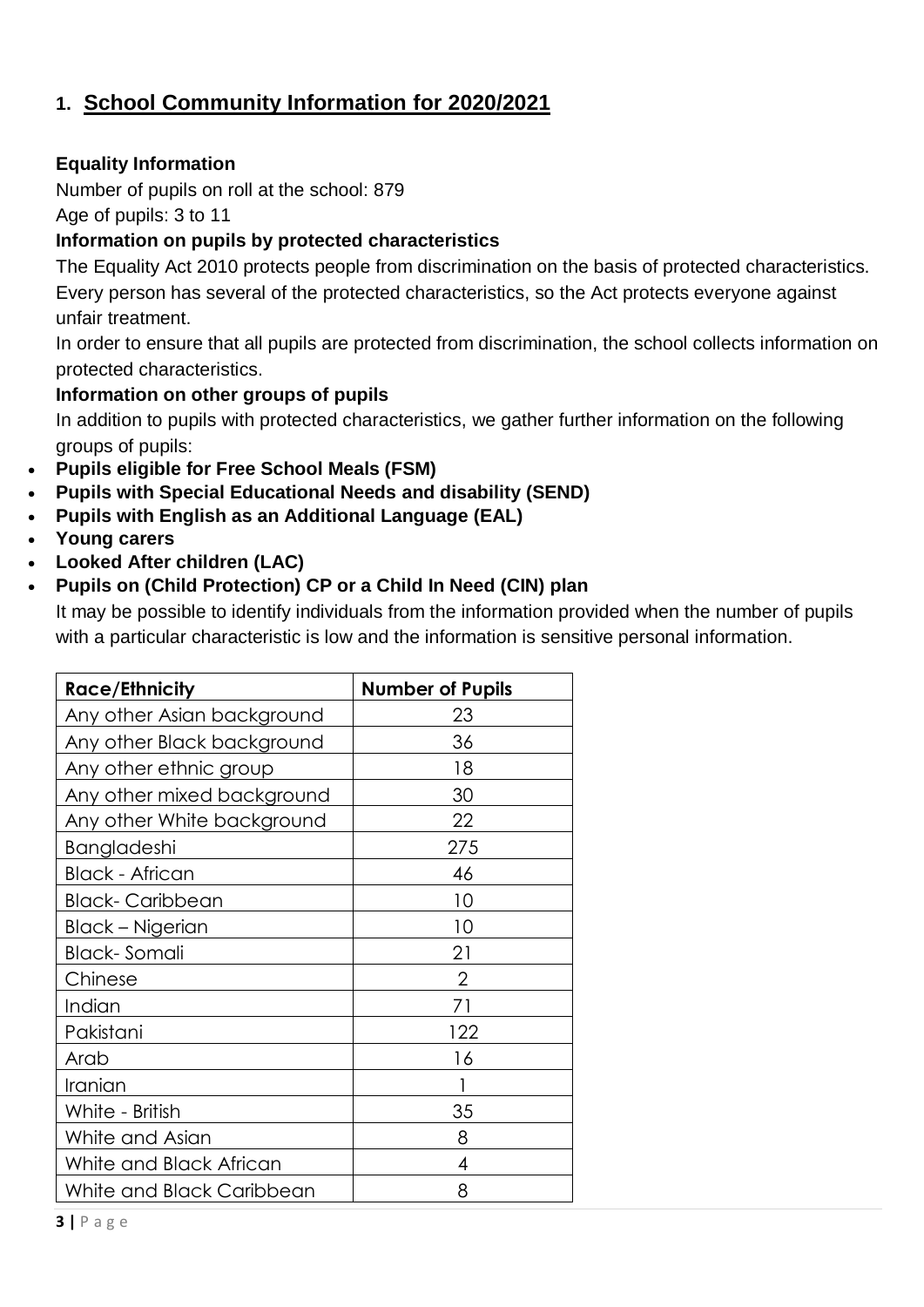## **1. School Community Information for 2020/2021**

#### **Equality Information**

Number of pupils on roll at the school: 879

Age of pupils: 3 to 11

#### **Information on pupils by protected characteristics**

The Equality Act 2010 protects people from discrimination on the basis of protected characteristics. Every person has several of the protected characteristics, so the Act protects everyone against unfair treatment.

In order to ensure that all pupils are protected from discrimination, the school collects information on protected characteristics.

#### **Information on other groups of pupils**

In addition to pupils with protected characteristics, we gather further information on the following groups of pupils:

- **Pupils eligible for Free School Meals (FSM)**
- **Pupils with Special Educational Needs and disability (SEND)**
- **Pupils with English as an Additional Language (EAL)**
- **Young carers**
- **Looked After children (LAC)**

#### **Pupils on (Child Protection) CP or a Child In Need (CIN) plan**

It may be possible to identify individuals from the information provided when the number of pupils with a particular characteristic is low and the information is sensitive personal information.

| <b>Race/Ethnicity</b>      | <b>Number of Pupils</b> |
|----------------------------|-------------------------|
| Any other Asian background | 23                      |
| Any other Black background | 36                      |
| Any other ethnic group     | 18                      |
| Any other mixed background | 30                      |
| Any other White background | 22                      |
| Bangladeshi                | 275                     |
| <b>Black - African</b>     | 46                      |
| <b>Black-Caribbean</b>     | 10                      |
| Black – Nigerian           | 10                      |
| Black- Somali              | 21                      |
| Chinese                    | $\overline{2}$          |
| Indian                     | 71                      |
| Pakistani                  | 122                     |
| Arab                       | 16                      |
| Iranian                    |                         |
| White - British            | 35                      |
| White and Asian            | 8                       |
| White and Black African    | 4                       |
| White and Black Caribbean  | 8                       |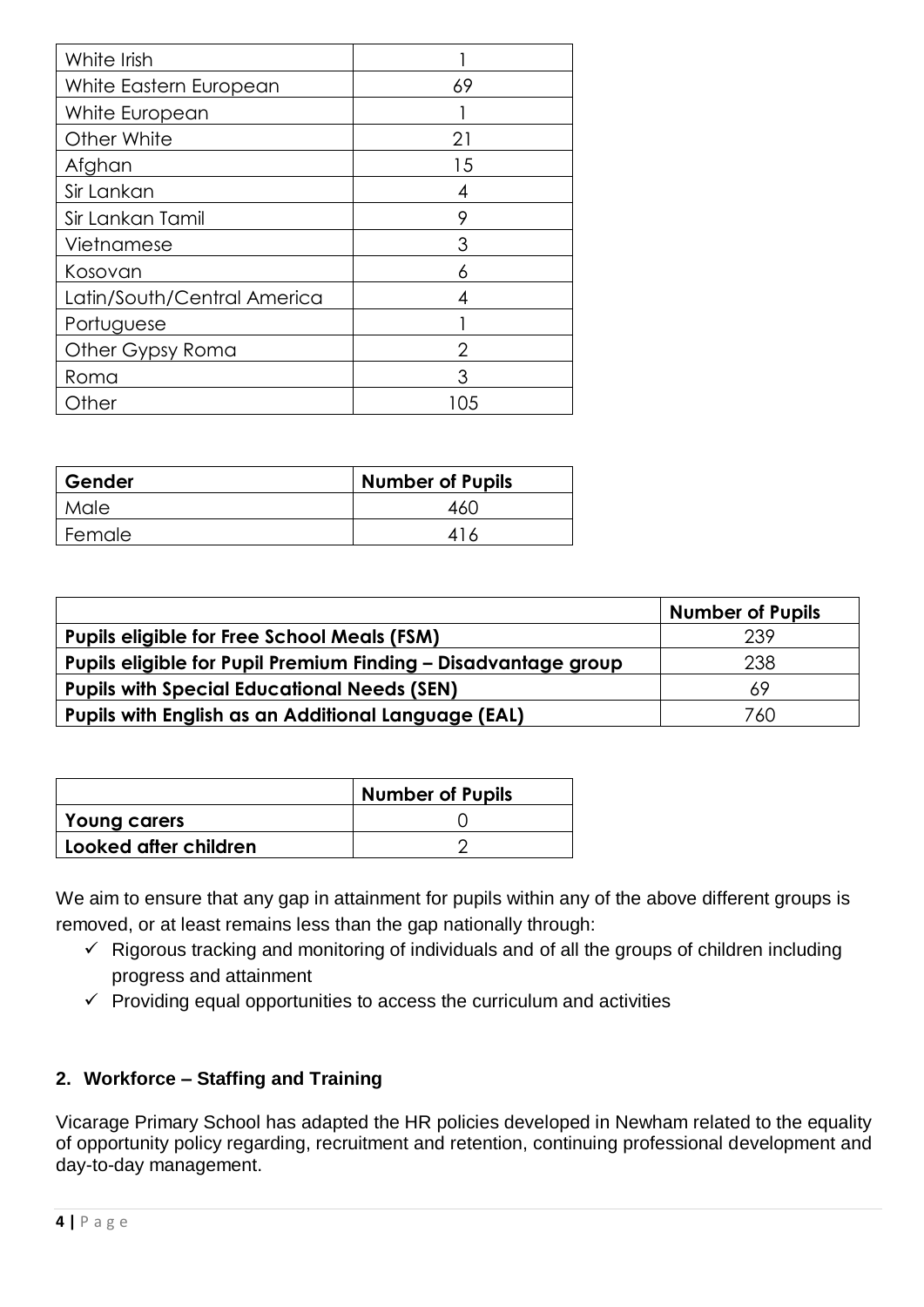| White Irish                 |     |
|-----------------------------|-----|
| White Eastern European      | 69  |
| White European              |     |
| Other White                 | 21  |
| Afghan                      | 15  |
| Sir Lankan                  |     |
| Sir Lankan Tamil            | Q   |
| Vietnamese                  | 3   |
| Kosovan                     | 6   |
| Latin/South/Central America |     |
| Portuguese                  |     |
| Other Gypsy Roma            | 2   |
| Roma                        |     |
| Other                       | 105 |

| Gender | Number of Pupils |
|--------|------------------|
| Male   | 16C              |
| Female | 416              |

|                                                                | <b>Number of Pupils</b> |
|----------------------------------------------------------------|-------------------------|
| <b>Pupils eligible for Free School Meals (FSM)</b>             | 239                     |
| Pupils eligible for Pupil Premium Finding - Disadvantage group | 238                     |
| <b>Pupils with Special Educational Needs (SEN)</b>             | 69                      |
| Pupils with English as an Additional Language (EAL)            | 760                     |

|                       | <b>Number of Pupils</b> |
|-----------------------|-------------------------|
| Young carers          |                         |
| Looked after children |                         |

We aim to ensure that any gap in attainment for pupils within any of the above different groups is removed, or at least remains less than the gap nationally through:

- $\checkmark$  Rigorous tracking and monitoring of individuals and of all the groups of children including progress and attainment
- $\checkmark$  Providing equal opportunities to access the curriculum and activities

#### **2. Workforce – Staffing and Training**

Vicarage Primary School has adapted the HR policies developed in Newham related to the equality of opportunity policy regarding, recruitment and retention, continuing professional development and day-to-day management.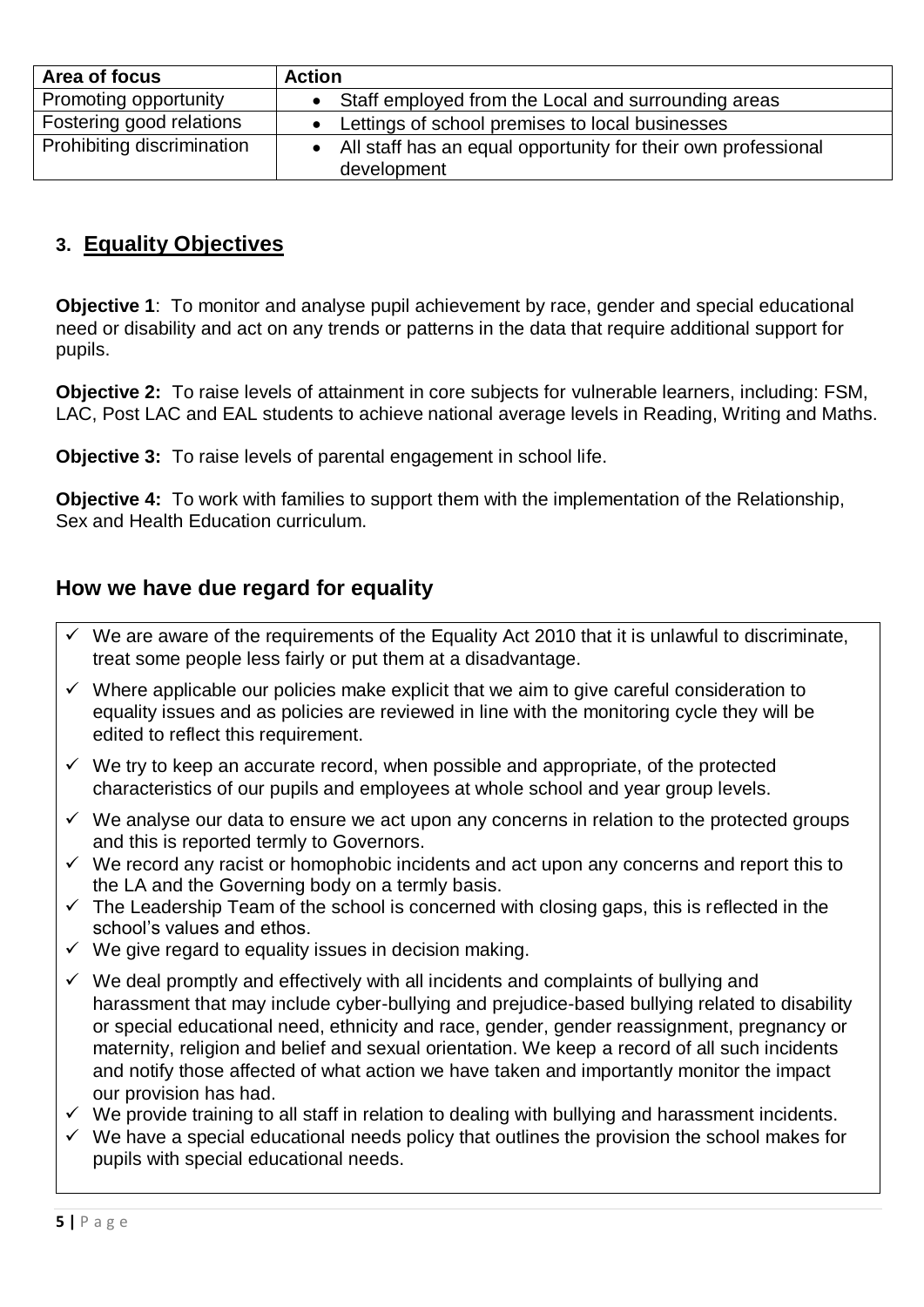| Area of focus              | <b>Action</b>                                                                |
|----------------------------|------------------------------------------------------------------------------|
| Promoting opportunity      | Staff employed from the Local and surrounding areas                          |
| Fostering good relations   | Lettings of school premises to local businesses                              |
| Prohibiting discrimination | All staff has an equal opportunity for their own professional<br>development |

### **3. Equality Objectives**

**Objective 1**: To monitor and analyse pupil achievement by race, gender and special educational need or disability and act on any trends or patterns in the data that require additional support for pupils.

**Objective 2:** To raise levels of attainment in core subjects for vulnerable learners, including: FSM, LAC, Post LAC and EAL students to achieve national average levels in Reading, Writing and Maths.

**Objective 3:** To raise levels of parental engagement in school life.

**Objective 4:** To work with families to support them with the implementation of the Relationship, Sex and Health Education curriculum.

#### **How we have due regard for equality**

- $\checkmark$  We are aware of the requirements of the Equality Act 2010 that it is unlawful to discriminate, treat some people less fairly or put them at a disadvantage.
- $\checkmark$  Where applicable our policies make explicit that we aim to give careful consideration to equality issues and as policies are reviewed in line with the monitoring cycle they will be edited to reflect this requirement.
- $\checkmark$  We try to keep an accurate record, when possible and appropriate, of the protected characteristics of our pupils and employees at whole school and year group levels.
- $\checkmark$  We analyse our data to ensure we act upon any concerns in relation to the protected groups and this is reported termly to Governors.
- $\checkmark$  We record any racist or homophobic incidents and act upon any concerns and report this to the LA and the Governing body on a termly basis.
- $\checkmark$  The Leadership Team of the school is concerned with closing gaps, this is reflected in the school's values and ethos.
- $\checkmark$  We give regard to equality issues in decision making.
- $\checkmark$  We deal promptly and effectively with all incidents and complaints of bullying and harassment that may include cyber-bullying and prejudice-based bullying related to disability or special educational need, ethnicity and race, gender, gender reassignment, pregnancy or maternity, religion and belief and sexual orientation. We keep a record of all such incidents and notify those affected of what action we have taken and importantly monitor the impact our provision has had.
- $\checkmark$  We provide training to all staff in relation to dealing with bullying and harassment incidents.
- $\checkmark$  We have a special educational needs policy that outlines the provision the school makes for pupils with special educational needs.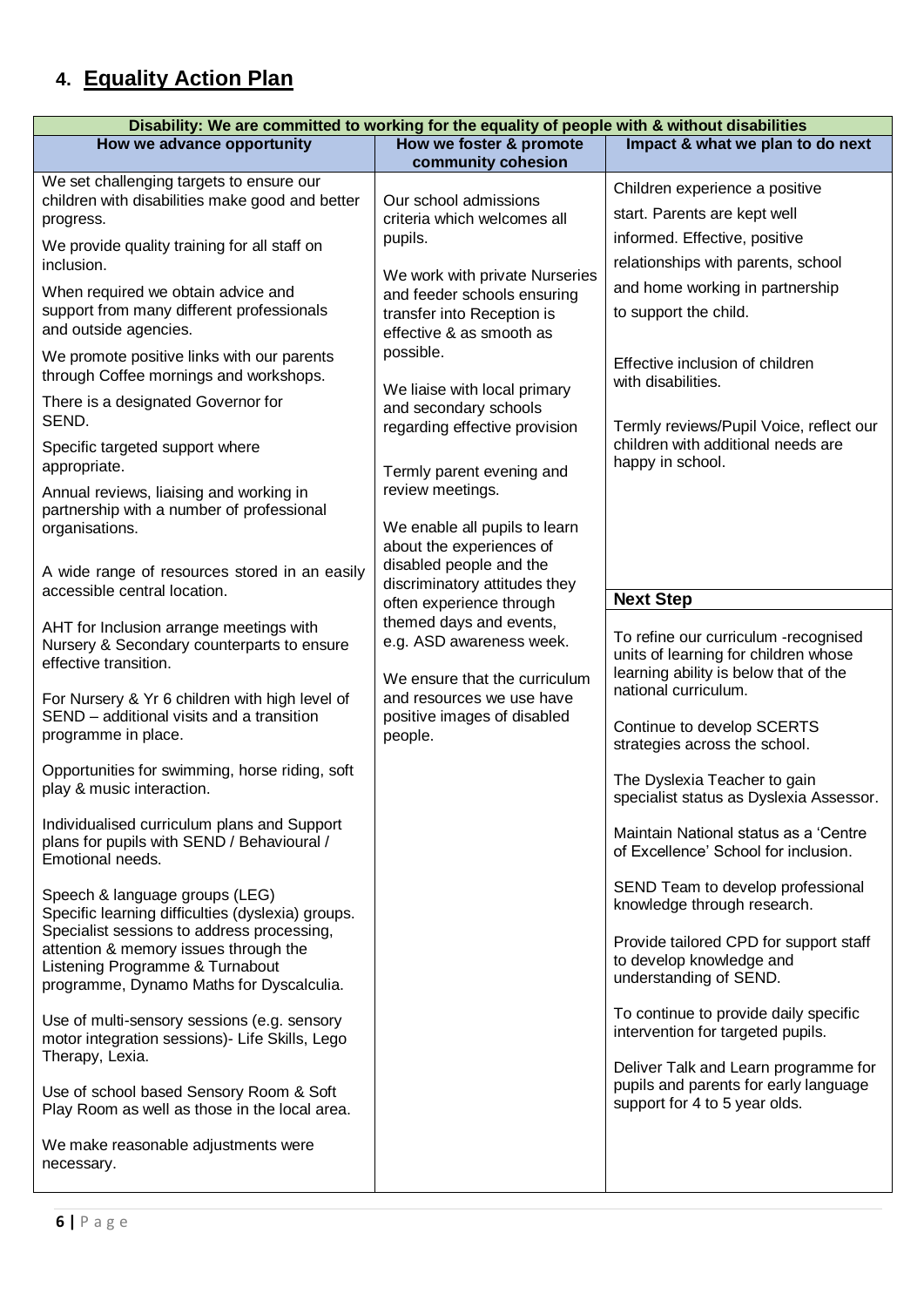# **4. Equality Action Plan**

| Disability: We are committed to working for the equality of people with & without disabilities                                                                                                                                                                                                                                                                                                                                                                                                                                                                                                                                                                                                                                                                                                                                                                                                                                                                                                                                                                                                                                                                                                                                                                                                                                                                                                                                                                                                                                                                                                                                                    |                                                                                                                                                                                                                                                                                                                                                                                                                                                                                                                                                                                                                                                                                              |                                                                                                                                                                                                                                                                                                                                                                                                                                                                                                                                                                                                                                                                                                                                                                                                                                                                                                                                                                                                                                                                                                                                     |  |
|---------------------------------------------------------------------------------------------------------------------------------------------------------------------------------------------------------------------------------------------------------------------------------------------------------------------------------------------------------------------------------------------------------------------------------------------------------------------------------------------------------------------------------------------------------------------------------------------------------------------------------------------------------------------------------------------------------------------------------------------------------------------------------------------------------------------------------------------------------------------------------------------------------------------------------------------------------------------------------------------------------------------------------------------------------------------------------------------------------------------------------------------------------------------------------------------------------------------------------------------------------------------------------------------------------------------------------------------------------------------------------------------------------------------------------------------------------------------------------------------------------------------------------------------------------------------------------------------------------------------------------------------------|----------------------------------------------------------------------------------------------------------------------------------------------------------------------------------------------------------------------------------------------------------------------------------------------------------------------------------------------------------------------------------------------------------------------------------------------------------------------------------------------------------------------------------------------------------------------------------------------------------------------------------------------------------------------------------------------|-------------------------------------------------------------------------------------------------------------------------------------------------------------------------------------------------------------------------------------------------------------------------------------------------------------------------------------------------------------------------------------------------------------------------------------------------------------------------------------------------------------------------------------------------------------------------------------------------------------------------------------------------------------------------------------------------------------------------------------------------------------------------------------------------------------------------------------------------------------------------------------------------------------------------------------------------------------------------------------------------------------------------------------------------------------------------------------------------------------------------------------|--|
| How we advance opportunity                                                                                                                                                                                                                                                                                                                                                                                                                                                                                                                                                                                                                                                                                                                                                                                                                                                                                                                                                                                                                                                                                                                                                                                                                                                                                                                                                                                                                                                                                                                                                                                                                        | How we foster & promote                                                                                                                                                                                                                                                                                                                                                                                                                                                                                                                                                                                                                                                                      | Impact & what we plan to do next                                                                                                                                                                                                                                                                                                                                                                                                                                                                                                                                                                                                                                                                                                                                                                                                                                                                                                                                                                                                                                                                                                    |  |
| We set challenging targets to ensure our<br>children with disabilities make good and better<br>progress.<br>We provide quality training for all staff on<br>inclusion.<br>When required we obtain advice and<br>support from many different professionals<br>and outside agencies.<br>We promote positive links with our parents<br>through Coffee mornings and workshops.<br>There is a designated Governor for<br>SEND.<br>Specific targeted support where<br>appropriate.<br>Annual reviews, liaising and working in<br>partnership with a number of professional<br>organisations.<br>A wide range of resources stored in an easily<br>accessible central location.<br>AHT for Inclusion arrange meetings with<br>Nursery & Secondary counterparts to ensure<br>effective transition.<br>For Nursery & Yr 6 children with high level of<br>SEND - additional visits and a transition<br>programme in place.<br>Opportunities for swimming, horse riding, soft<br>play & music interaction.<br>Individualised curriculum plans and Support<br>plans for pupils with SEND / Behavioural /<br>Emotional needs.<br>Speech & language groups (LEG)<br>Specific learning difficulties (dyslexia) groups.<br>Specialist sessions to address processing,<br>attention & memory issues through the<br>Listening Programme & Turnabout<br>programme, Dynamo Maths for Dyscalculia.<br>Use of multi-sensory sessions (e.g. sensory<br>motor integration sessions)- Life Skills, Lego<br>Therapy, Lexia.<br>Use of school based Sensory Room & Soft<br>Play Room as well as those in the local area.<br>We make reasonable adjustments were<br>necessary. | community cohesion<br>Our school admissions<br>criteria which welcomes all<br>pupils.<br>We work with private Nurseries<br>and feeder schools ensuring<br>transfer into Reception is<br>effective & as smooth as<br>possible.<br>We liaise with local primary<br>and secondary schools<br>regarding effective provision<br>Termly parent evening and<br>review meetings.<br>We enable all pupils to learn<br>about the experiences of<br>disabled people and the<br>discriminatory attitudes they<br>often experience through<br>themed days and events,<br>e.g. ASD awareness week.<br>We ensure that the curriculum<br>and resources we use have<br>positive images of disabled<br>people. | Children experience a positive<br>start. Parents are kept well<br>informed. Effective, positive<br>relationships with parents, school<br>and home working in partnership<br>to support the child.<br>Effective inclusion of children<br>with disabilities.<br>Termly reviews/Pupil Voice, reflect our<br>children with additional needs are<br>happy in school.<br><b>Next Step</b><br>To refine our curriculum -recognised<br>units of learning for children whose<br>learning ability is below that of the<br>national curriculum.<br>Continue to develop SCERTS<br>strategies across the school.<br>The Dyslexia Teacher to gain<br>specialist status as Dyslexia Assessor.<br>Maintain National status as a 'Centre<br>of Excellence' School for inclusion.<br>SEND Team to develop professional<br>knowledge through research.<br>Provide tailored CPD for support staff<br>to develop knowledge and<br>understanding of SEND.<br>To continue to provide daily specific<br>intervention for targeted pupils.<br>Deliver Talk and Learn programme for<br>pupils and parents for early language<br>support for 4 to 5 year olds. |  |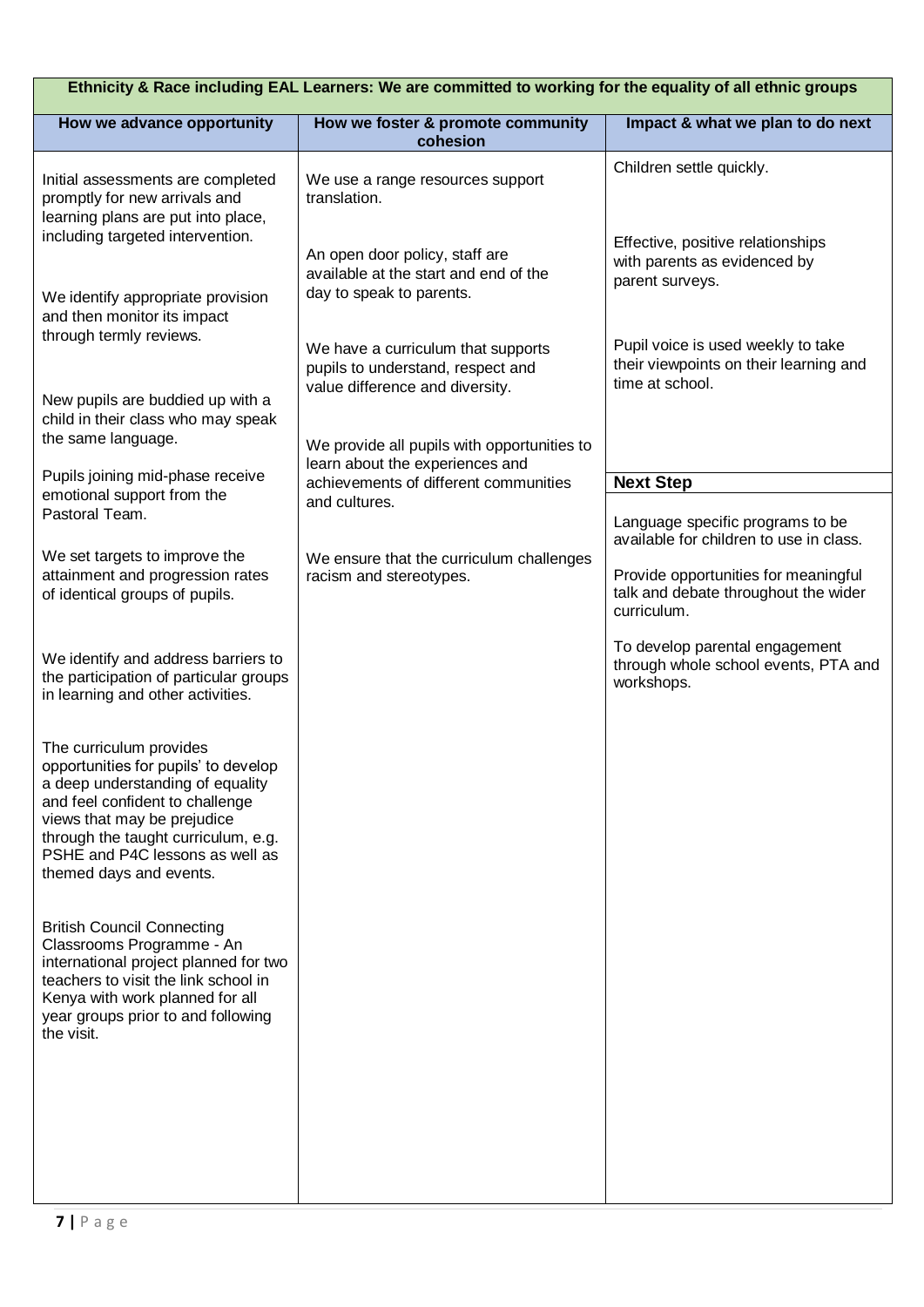| Ethnicity & Race including EAL Learners: We are committed to working for the equality of all ethnic groups                                                                                                                                                                 |                                                                                                            |                                                                                                 |  |
|----------------------------------------------------------------------------------------------------------------------------------------------------------------------------------------------------------------------------------------------------------------------------|------------------------------------------------------------------------------------------------------------|-------------------------------------------------------------------------------------------------|--|
| How we advance opportunity                                                                                                                                                                                                                                                 | How we foster & promote community<br>cohesion                                                              | Impact & what we plan to do next                                                                |  |
| Initial assessments are completed<br>promptly for new arrivals and<br>learning plans are put into place,<br>including targeted intervention.                                                                                                                               | We use a range resources support<br>translation.                                                           | Children settle quickly.<br>Effective, positive relationships                                   |  |
| We identify appropriate provision<br>and then monitor its impact                                                                                                                                                                                                           | An open door policy, staff are<br>available at the start and end of the<br>day to speak to parents.        | with parents as evidenced by<br>parent surveys.                                                 |  |
| through termly reviews.<br>New pupils are buddied up with a                                                                                                                                                                                                                | We have a curriculum that supports<br>pupils to understand, respect and<br>value difference and diversity. | Pupil voice is used weekly to take<br>their viewpoints on their learning and<br>time at school. |  |
| child in their class who may speak<br>the same language.                                                                                                                                                                                                                   | We provide all pupils with opportunities to<br>learn about the experiences and                             |                                                                                                 |  |
| Pupils joining mid-phase receive<br>emotional support from the                                                                                                                                                                                                             | achievements of different communities                                                                      | <b>Next Step</b>                                                                                |  |
| Pastoral Team.                                                                                                                                                                                                                                                             | and cultures.                                                                                              | Language specific programs to be<br>available for children to use in class.                     |  |
| We set targets to improve the<br>attainment and progression rates<br>of identical groups of pupils.                                                                                                                                                                        | We ensure that the curriculum challenges<br>racism and stereotypes.                                        | Provide opportunities for meaningful<br>talk and debate throughout the wider<br>curriculum.     |  |
| We identify and address barriers to<br>the participation of particular groups<br>in learning and other activities.                                                                                                                                                         |                                                                                                            | To develop parental engagement<br>through whole school events, PTA and<br>workshops.            |  |
| The curriculum provides<br>opportunities for pupils' to develop<br>a deep understanding of equality<br>and feel confident to challenge<br>views that may be prejudice<br>through the taught curriculum, e.g.<br>PSHE and P4C lessons as well as<br>themed days and events. |                                                                                                            |                                                                                                 |  |
| <b>British Council Connecting</b><br>Classrooms Programme - An<br>international project planned for two<br>teachers to visit the link school in<br>Kenya with work planned for all<br>year groups prior to and following<br>the visit.                                     |                                                                                                            |                                                                                                 |  |
|                                                                                                                                                                                                                                                                            |                                                                                                            |                                                                                                 |  |
|                                                                                                                                                                                                                                                                            |                                                                                                            |                                                                                                 |  |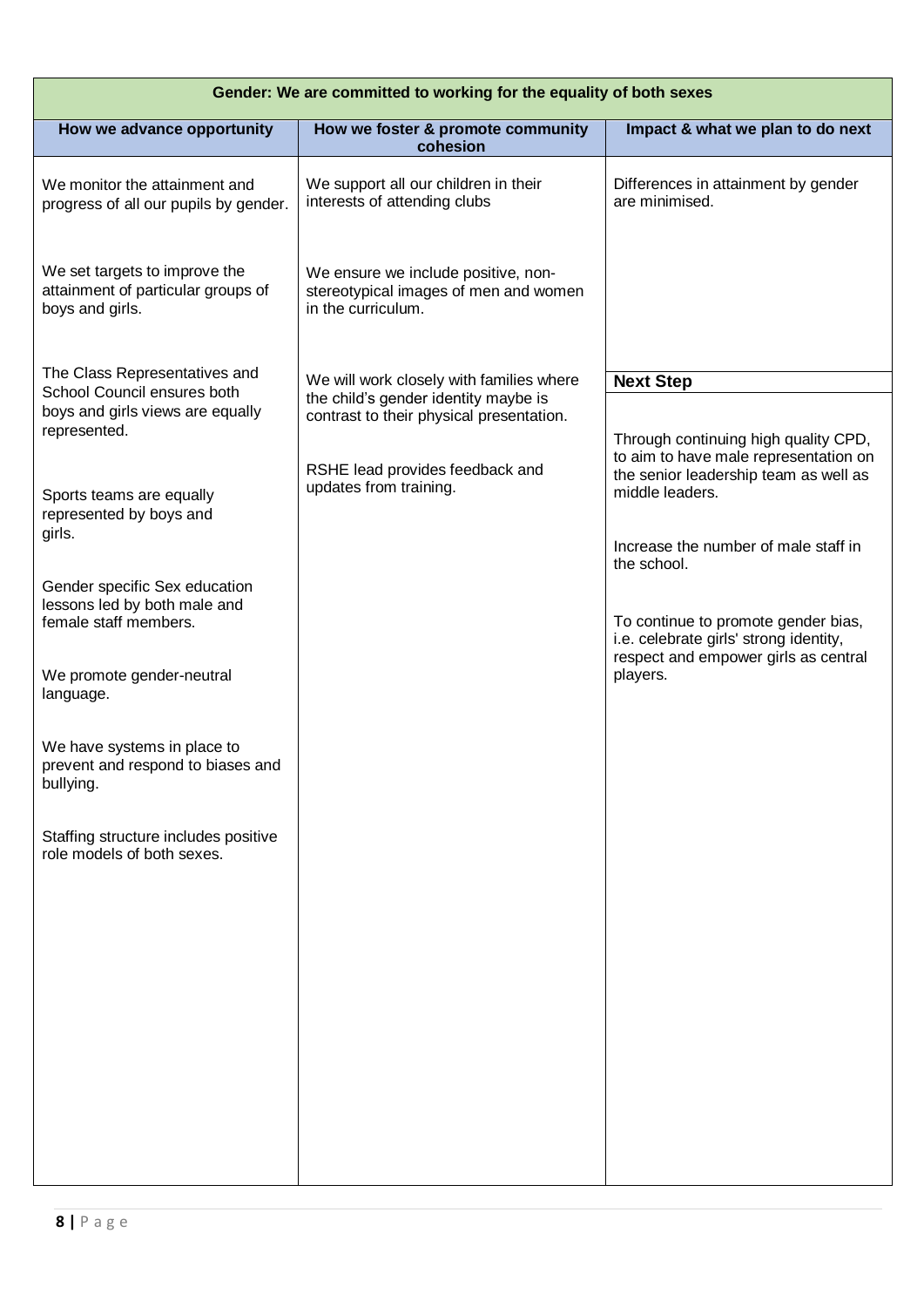| Gender: We are committed to working for the equality of both sexes                     |                                                                                                    |                                                                                                                                           |  |
|----------------------------------------------------------------------------------------|----------------------------------------------------------------------------------------------------|-------------------------------------------------------------------------------------------------------------------------------------------|--|
| How we advance opportunity                                                             | How we foster & promote community<br>cohesion                                                      | Impact & what we plan to do next                                                                                                          |  |
| We monitor the attainment and<br>progress of all our pupils by gender.                 | We support all our children in their<br>interests of attending clubs                               | Differences in attainment by gender<br>are minimised.                                                                                     |  |
| We set targets to improve the<br>attainment of particular groups of<br>boys and girls. | We ensure we include positive, non-<br>stereotypical images of men and women<br>in the curriculum. |                                                                                                                                           |  |
| The Class Representatives and                                                          | We will work closely with families where                                                           | <b>Next Step</b>                                                                                                                          |  |
| School Council ensures both<br>boys and girls views are equally                        | the child's gender identity maybe is<br>contrast to their physical presentation.                   |                                                                                                                                           |  |
| represented.<br>Sports teams are equally<br>represented by boys and                    | RSHE lead provides feedback and<br>updates from training.                                          | Through continuing high quality CPD,<br>to aim to have male representation on<br>the senior leadership team as well as<br>middle leaders. |  |
| girls.                                                                                 |                                                                                                    | Increase the number of male staff in<br>the school.                                                                                       |  |
| Gender specific Sex education<br>lessons led by both male and<br>female staff members. |                                                                                                    | To continue to promote gender bias,                                                                                                       |  |
| We promote gender-neutral<br>language.                                                 |                                                                                                    | i.e. celebrate girls' strong identity,<br>respect and empower girls as central<br>players.                                                |  |
| We have systems in place to<br>prevent and respond to biases and<br>bullying.          |                                                                                                    |                                                                                                                                           |  |
| Staffing structure includes positive<br>role models of both sexes.                     |                                                                                                    |                                                                                                                                           |  |
|                                                                                        |                                                                                                    |                                                                                                                                           |  |
|                                                                                        |                                                                                                    |                                                                                                                                           |  |
|                                                                                        |                                                                                                    |                                                                                                                                           |  |
|                                                                                        |                                                                                                    |                                                                                                                                           |  |
|                                                                                        |                                                                                                    |                                                                                                                                           |  |
|                                                                                        |                                                                                                    |                                                                                                                                           |  |